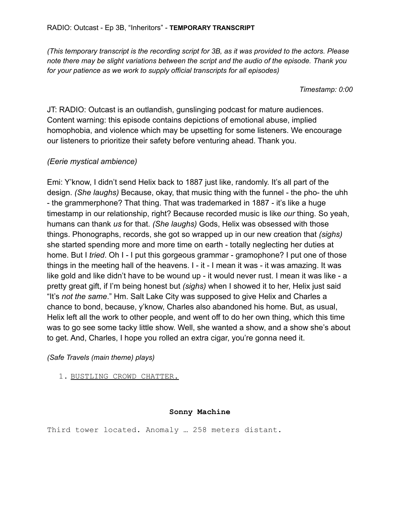*(This temporary transcript is the recording script for 3B, as it was provided to the actors. Please note there may be slight variations between the script and the audio of the episode. Thank you for your patience as we work to supply official transcripts for all episodes)*

*Timestamp: 0:00*

JT: RADIO: Outcast is an outlandish, gunslinging podcast for mature audiences. Content warning: this episode contains depictions of emotional abuse, implied homophobia, and violence which may be upsetting for some listeners. We encourage our listeners to prioritize their safety before venturing ahead. Thank you.

# *(Eerie mystical ambience)*

Emi: Y'know, I didn't send Helix back to 1887 just like, randomly. It's all part of the design. *(She laughs)* Because, okay, that music thing with the funnel - the pho- the uhh - the grammerphone? That thing. That was trademarked in 1887 - it's like a huge timestamp in our relationship, right? Because recorded music is like *our* thing. So yeah, humans can thank *us* for that. *(She laughs)* Gods, Helix was obsessed with those things. Phonographs, records, she got so wrapped up in our new creation that *(sighs)* she started spending more and more time on earth - totally neglecting her duties at home. But I *tried*. Oh I - I put this gorgeous grammar - gramophone? I put one of those things in the meeting hall of the heavens. I - it - I mean it was - it was amazing. It was like gold and like didn't have to be wound up - it would never rust. I mean it was like - a pretty great gift, if I'm being honest but *(sighs)* when I showed it to her, Helix just said "It's *not the same*." Hm. Salt Lake City was supposed to give Helix and Charles a chance to bond, because, y'know, Charles also abandoned his home. But, as usual, Helix left all the work to other people, and went off to do her own thing, which this time was to go see some tacky little show. Well, she wanted a show, and a show she's about to get. And, Charles, I hope you rolled an extra cigar, you're gonna need it.

*(Safe Travels (main theme) plays)*

1. BUSTLING CROWD CHATTER.

# **Sonny Machine**

Third tower located. Anomaly … 258 meters distant.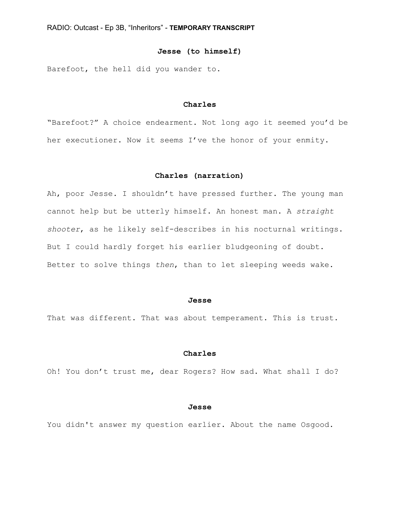### **Jesse (to himself)**

Barefoot, the hell did you wander to.

# **Charles**

"Barefoot?" A choice endearment. Not long ago it seemed you'd be her executioner. Now it seems I've the honor of your enmity.

### **Charles (narration)**

Ah, poor Jesse. I shouldn't have pressed further. The young man cannot help but be utterly himself. An honest man. A *straight shooter*, as he likely self-describes in his nocturnal writings. But I could hardly forget his earlier bludgeoning of doubt. Better to solve things *then*, than to let sleeping weeds wake.

#### **Jesse**

That was different. That was about temperament. This is trust.

#### **Charles**

Oh! You don't trust me, dear Rogers? How sad. What shall I do?

#### **Jesse**

You didn't answer my question earlier. About the name Osgood.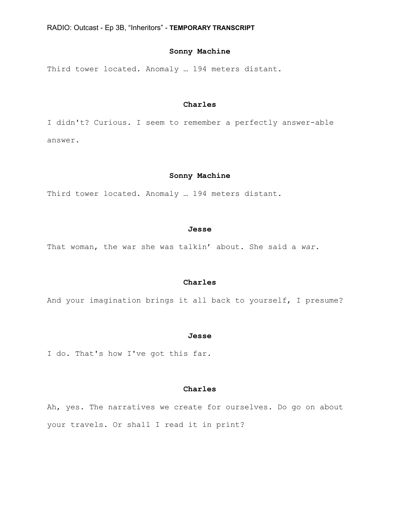# **Sonny Machine**

Third tower located. Anomaly … 194 meters distant.

# **Charles**

I didn't? Curious. I seem to remember a perfectly answer-able answer.

### **Sonny Machine**

Third tower located. Anomaly … 194 meters distant.

#### **Jesse**

That woman, the war she was talkin' about. She said a *war*.

# **Charles**

And your imagination brings it all back to yourself, I presume?

#### **Jesse**

I do. That's how I've got this far.

# **Charles**

Ah, yes. The narratives we create for ourselves. Do go on about your travels. Or shall I read it in print?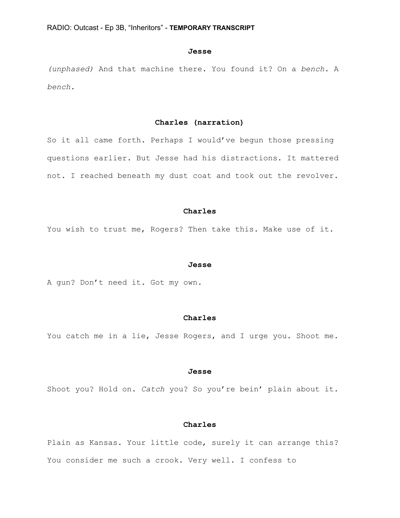#### **Jesse**

*(unphased)* And that machine there. You found it? On a *bench*. A *bench*.

# **Charles (narration)**

So it all came forth. Perhaps I would've begun those pressing questions earlier. But Jesse had his distractions. It mattered not. I reached beneath my dust coat and took out the revolver.

#### **Charles**

You wish to trust me, Rogers? Then take this. Make use of it.

#### **Jesse**

A gun? Don't need it. Got my own.

### **Charles**

You catch me in a lie, Jesse Rogers, and I urge you. Shoot me.

#### **Jesse**

Shoot you? Hold on. *Catch* you? So you're bein' plain about it.

# **Charles**

Plain as Kansas. Your little code, surely it can arrange this? You consider me such a crook. Very well. I confess to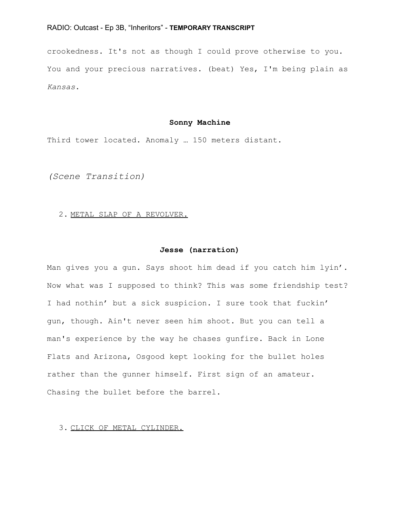crookedness. It's not as though I could prove otherwise to you. You and your precious narratives. (beat) Yes, I'm being plain as *Kansas*.

## **Sonny Machine**

Third tower located. Anomaly … 150 meters distant.

*(Scene Transition)*

2. METAL SLAP OF A REVOLVER.

### **Jesse (narration)**

Man gives you a gun. Says shoot him dead if you catch him lyin'. Now what was I supposed to think? This was some friendship test? I had nothin' but a sick suspicion. I sure took that fuckin' gun, though. Ain't never seen him shoot. But you can tell a man's experience by the way he chases gunfire. Back in Lone Flats and Arizona, Osgood kept looking for the bullet holes rather than the gunner himself. First sign of an amateur. Chasing the bullet before the barrel.

3. CLICK OF METAL CYLINDER.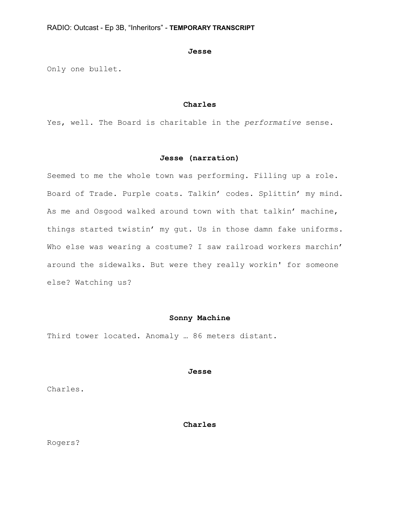#### **Jesse**

Only one bullet.

# **Charles**

Yes, well. The Board is charitable in the *performative* sense.

# **Jesse (narration)**

Seemed to me the whole town was performing. Filling up a role. Board of Trade. Purple coats. Talkin' codes. Splittin' my mind. As me and Osgood walked around town with that talkin' machine, things started twistin' my gut. Us in those damn fake uniforms. Who else was wearing a costume? I saw railroad workers marchin' around the sidewalks. But were they really workin' for someone else? Watching us?

### **Sonny Machine**

Third tower located. Anomaly … 86 meters distant.

### **Jesse**

Charles.

# **Charles**

Rogers?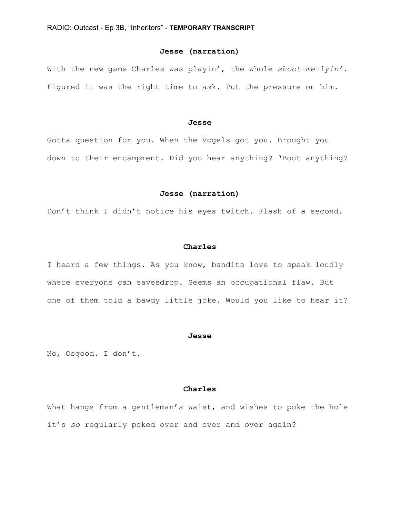# **Jesse (narration)**

With the new game Charles was playin', the whole *shoot-me-lyin'*. Figured it was the right time to ask. Put the pressure on him.

### **Jesse**

Gotta question for you. When the Vogels got you. Brought you down to their encampment. Did you hear anything? 'Bout anything?

### **Jesse (narration)**

Don't think I didn't notice his eyes twitch. Flash of a second.

### **Charles**

I heard a few things. As you know, bandits love to speak loudly where everyone can eavesdrop. Seems an occupational flaw. But one of them told a bawdy little joke. Would you like to hear it?

#### **Jesse**

No, Osgood. I don't.

### **Charles**

What hangs from a gentleman's waist, and wishes to poke the hole it's *so* regularly poked over and over and over again?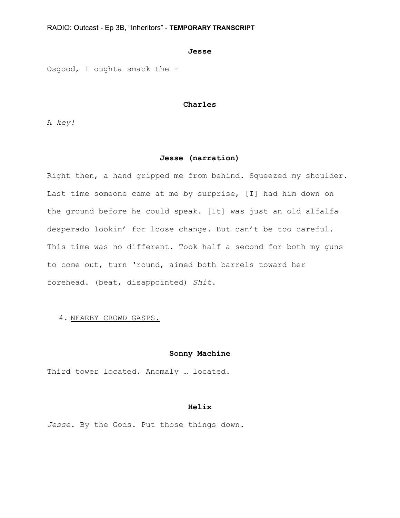#### **Jesse**

Osgood, I oughta smack the -

# **Charles**

A *key!*

# **Jesse (narration)**

Right then, a hand gripped me from behind. Squeezed my shoulder. Last time someone came at me by surprise, [I] had him down on the ground before he could speak. [It] was just an old alfalfa desperado lookin' for loose change. But can't be too careful. This time was no different. Took half a second for both my guns to come out, turn 'round, aimed both barrels toward her forehead. (beat, disappointed) *Shit*.

### 4. NEARBY CROWD GASPS.

### **Sonny Machine**

Third tower located. Anomaly … located.

# **Helix**

*Jesse.* By the Gods. Put those things down.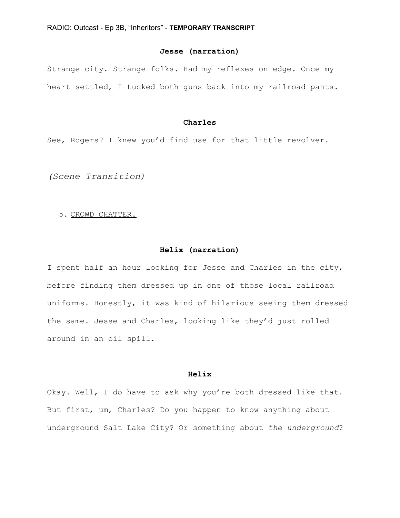# **Jesse (narration)**

Strange city. Strange folks. Had my reflexes on edge. Once my heart settled, I tucked both guns back into my railroad pants.

# **Charles**

See, Rogers? I knew you'd find use for that little revolver.

*(Scene Transition)*

### 5. CROWD CHATTER.

# **Helix (narration)**

I spent half an hour looking for Jesse and Charles in the city, before finding them dressed up in one of those local railroad uniforms. Honestly, it was kind of hilarious seeing them dressed the same. Jesse and Charles, looking like they'd just rolled around in an oil spill.

### **Helix**

Okay. Well, I do have to ask why you're both dressed like that. But first, um, Charles? Do you happen to know anything about underground Salt Lake City? Or something about *the underground*?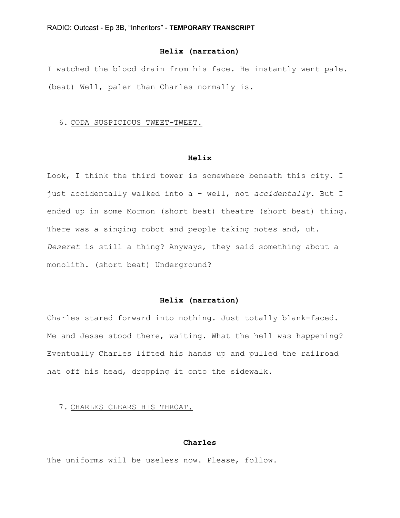# **Helix (narration)**

I watched the blood drain from his face. He instantly went pale. (beat) Well, paler than Charles normally is.

# 6. CODA SUSPICIOUS TWEET-TWEET.

# **Helix**

Look, I think the third tower is somewhere beneath this city. I just accidentally walked into a - well, not *accidentally*. But I ended up in some Mormon (short beat) theatre (short beat) thing. There was a singing robot and people taking notes and, uh. *Deseret* is still a thing? Anyways, they said something about a monolith. (short beat) Underground?

### **Helix (narration)**

Charles stared forward into nothing. Just totally blank-faced. Me and Jesse stood there, waiting. What the hell was happening? Eventually Charles lifted his hands up and pulled the railroad hat off his head, dropping it onto the sidewalk.

# 7. CHARLES CLEARS HIS THROAT.

### **Charles**

The uniforms will be useless now. Please, follow.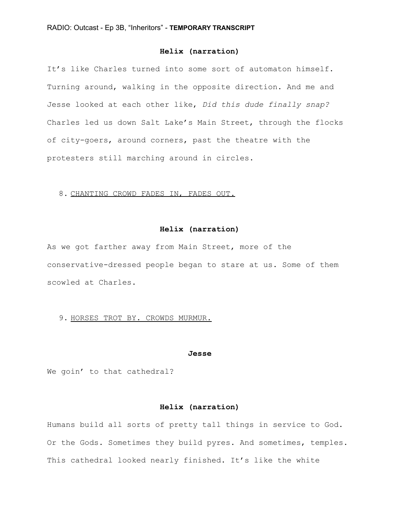# **Helix (narration)**

It's like Charles turned into some sort of automaton himself. Turning around, walking in the opposite direction. And me and Jesse looked at each other like, *Did this dude finally snap?* Charles led us down Salt Lake's Main Street, through the flocks of city-goers, around corners, past the theatre with the protesters still marching around in circles.

#### 8. CHANTING CROWD FADES IN, FADES OUT.

#### **Helix (narration)**

As we got farther away from Main Street, more of the conservative-dressed people began to stare at us. Some of them scowled at Charles.

### 9. HORSES TROT BY. CROWDS MURMUR.

#### **Jesse**

We goin' to that cathedral?

# **Helix (narration)**

Humans build all sorts of pretty tall things in service to God. Or the Gods. Sometimes they build pyres. And sometimes, temples. This cathedral looked nearly finished. It's like the white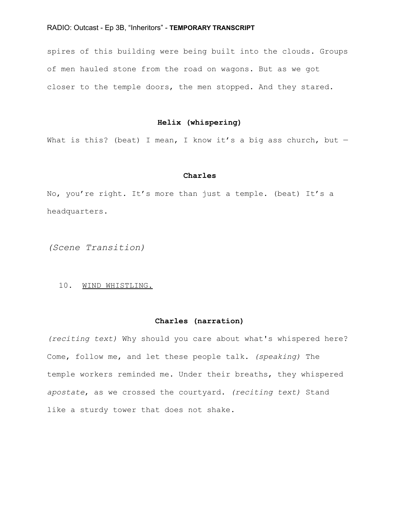spires of this building were being built into the clouds. Groups of men hauled stone from the road on wagons. But as we got closer to the temple doors, the men stopped. And they stared.

# **Helix (whispering)**

What is this? (beat) I mean, I know it's a big ass church, but  $-$ 

#### **Charles**

No, you're right. It's more than just a temple. (beat) It's a headquarters.

*(Scene Transition)*

# 10. WIND WHISTLING.

## **Charles (narration)**

*(reciting text)* Why should you care about what's whispered here? Come, follow me, and let these people talk. *(speaking)* The temple workers reminded me. Under their breaths, they whispered *apostate*, as we crossed the courtyard. *(reciting text)* Stand like a sturdy tower that does not shake.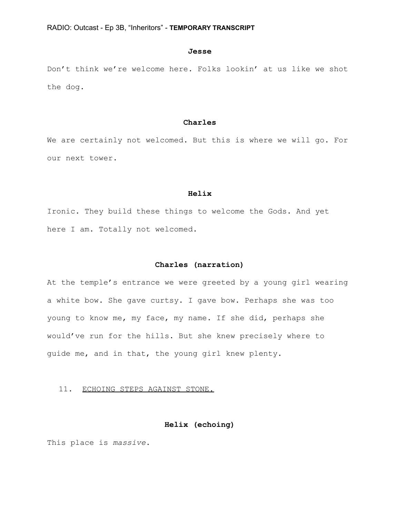#### **Jesse**

Don't think we're welcome here. Folks lookin' at us like we shot the dog.

### **Charles**

We are certainly not welcomed. But this is where we will go. For our next tower.

#### **Helix**

Ironic. They build these things to welcome the Gods. And yet here I am. Totally not welcomed.

### **Charles (narration)**

At the temple's entrance we were greeted by a young girl wearing a white bow. She gave curtsy. I gave bow. Perhaps she was too young to know me, my face, my name. If she did, perhaps she would've run for the hills. But she knew precisely where to guide me, and in that, the young girl knew plenty.

# 11. ECHOING STEPS AGAINST STONE.

## **Helix (echoing)**

This place is *massive*.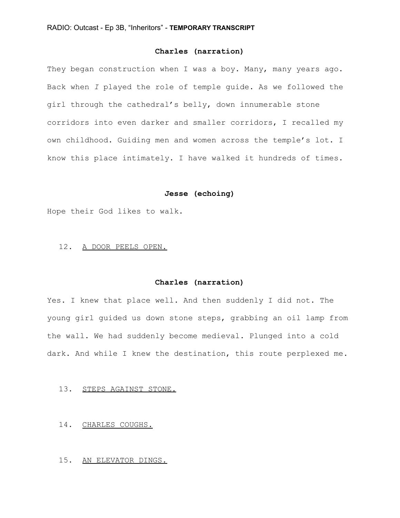# **Charles (narration)**

They began construction when I was a boy. Many, many years ago. Back when *I* played the role of temple guide. As we followed the girl through the cathedral's belly, down innumerable stone corridors into even darker and smaller corridors, I recalled my own childhood. Guiding men and women across the temple's lot. I know this place intimately. I have walked it hundreds of times.

# **Jesse (echoing)**

Hope their God likes to walk.

#### 12. A DOOR PEELS OPEN.

### **Charles (narration)**

Yes. I knew that place well. And then suddenly I did not. The young girl guided us down stone steps, grabbing an oil lamp from the wall. We had suddenly become medieval. Plunged into a cold dark. And while I knew the destination, this route perplexed me.

# 13. STEPS AGAINST STONE.

#### 14. CHARLES COUGHS.

15. AN ELEVATOR DINGS.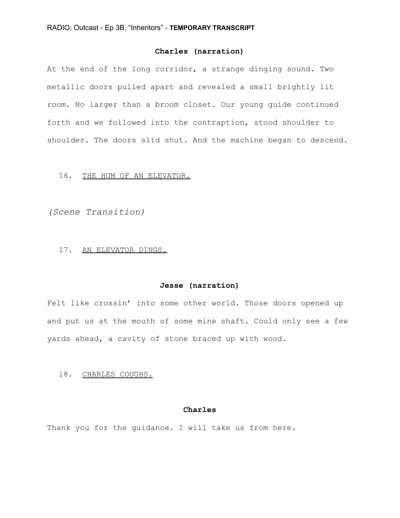# **Charles (narration)**

At the end of the long corridor, a strange dinging sound. Two metallic doors pulled apart and revealed a small brightly lit room. No larger than a broom closet. Our young guide continued forth and we followed into the contraption, stood shoulder to shoulder. The doors slid shut. And the machine began to descend.

### 16. THE HUM OF AN ELEVATOR.

*(Scene Transition)*

#### 17. AN ELEVATOR DINGS.

# **Jesse (narration)**

Felt like crossin' into some other world. Those doors opened up and put us at the mouth of some mine shaft. Could only see a few yards ahead, a cavity of stone braced up with wood.

### 18. CHARLES COUGHS.

# **Charles**

Thank you for the guidance. I will take us from here.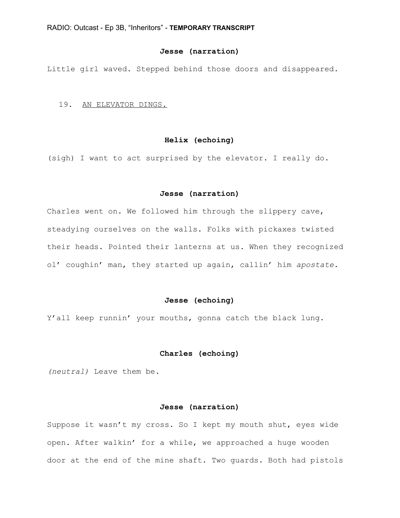# **Jesse (narration)**

Little girl waved. Stepped behind those doors and disappeared.

### 19. AN ELEVATOR DINGS.

# **Helix (echoing)**

(sigh) I want to act surprised by the elevator. I really do.

#### **Jesse (narration)**

Charles went on. We followed him through the slippery cave, steadying ourselves on the walls. Folks with pickaxes twisted their heads. Pointed their lanterns at us. When they recognized ol' coughin' man, they started up again, callin' him *apostate*.

# **Jesse (echoing)**

Y'all keep runnin' your mouths, gonna catch the black lung.

### **Charles (echoing)**

*(neutral)* Leave them be.

### **Jesse (narration)**

Suppose it wasn't my cross. So I kept my mouth shut, eyes wide open. After walkin' for a while, we approached a huge wooden door at the end of the mine shaft. Two guards. Both had pistols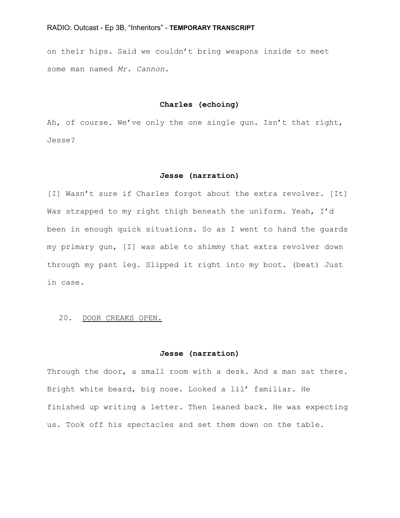on their hips. Said we couldn't bring weapons inside to meet some man named *Mr. Cannon*.

### **Charles (echoing)**

Ah, of course. We've only the one single gun. Isn't that right, Jesse?

### **Jesse (narration)**

[I] Wasn't sure if Charles forgot about the extra revolver. [It] Was strapped to my right thigh beneath the uniform. Yeah, I'd been in enough quick situations. So as I went to hand the guards my primary gun, [I] was able to shimmy that extra revolver down through my pant leg. Slipped it right into my boot. (beat) Just in case.

### 20. DOOR CREAKS OPEN.

### **Jesse (narration)**

Through the door, a small room with a desk. And a man sat there. Bright white beard, big nose. Looked a lil' familiar. He finished up writing a letter. Then leaned back. He was expecting us. Took off his spectacles and set them down on the table.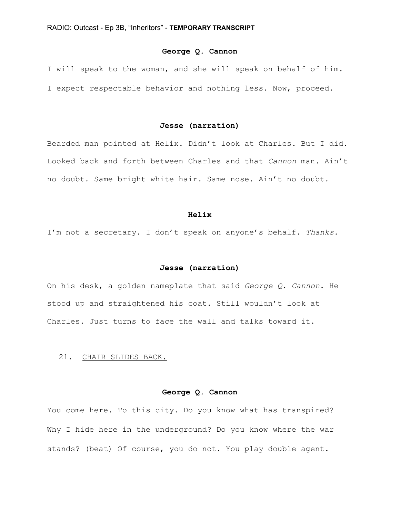# **George Q. Cannon**

I will speak to the woman, and she will speak on behalf of him. I expect respectable behavior and nothing less. Now, proceed.

## **Jesse (narration)**

Bearded man pointed at Helix. Didn't look at Charles. But I did. Looked back and forth between Charles and that *Cannon* man. Ain't no doubt. Same bright white hair. Same nose. Ain't no doubt.

#### **Helix**

I'm not a secretary. I don't speak on anyone's behalf. *Thanks*.

### **Jesse (narration)**

On his desk, a golden nameplate that said *George Q. Cannon*. He stood up and straightened his coat. Still wouldn't look at Charles. Just turns to face the wall and talks toward it.

### 21. CHAIR SLIDES BACK.

# **George Q. Cannon**

You come here. To this city. Do you know what has transpired? Why I hide here in the underground? Do you know where the war stands? (beat) Of course, you do not. You play double agent.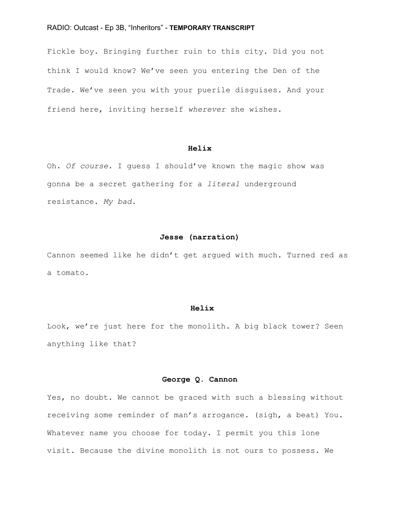Fickle boy. Bringing further ruin to this city. Did you not think I would know? We've seen you entering the Den of the Trade. We've seen you with your puerile disguises. And your friend here, inviting herself *wherever* she wishes.

### **Helix**

Oh. *Of course*. I guess I should've known the magic show was gonna be a secret gathering for a *literal* underground resistance. *My bad*.

# **Jesse (narration)**

Cannon seemed like he didn't get argued with much. Turned red as a tomato.

#### **Helix**

Look, we're just here for the monolith. A big black tower? Seen anything like that?

# **George Q. Cannon**

Yes, no doubt. We cannot be graced with such a blessing without receiving some reminder of man's arrogance. (sigh, a beat) You. Whatever name you choose for today. I permit you this lone visit. Because the divine monolith is not ours to possess. We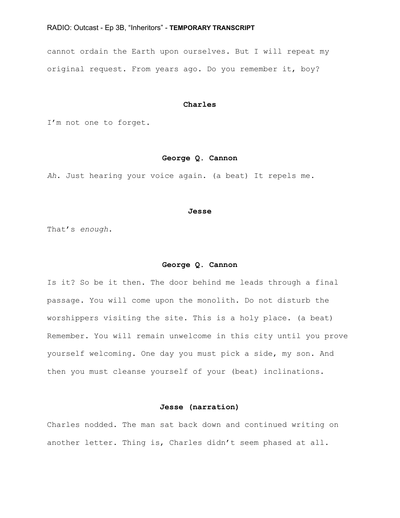cannot ordain the Earth upon ourselves. But I will repeat my original request. From years ago. Do you remember it, boy?

## **Charles**

I'm not one to forget.

# **George Q. Cannon**

*Ah*. Just hearing your voice again. (a beat) It repels me.

#### **Jesse**

That's *enough*.

### **George Q. Cannon**

Is it? So be it then. The door behind me leads through a final passage. You will come upon the monolith. Do not disturb the worshippers visiting the site. This is a holy place. (a beat) Remember. You will remain unwelcome in this city until you prove yourself welcoming. One day you must pick a side, my son. And then you must cleanse yourself of your (beat) inclinations.

# **Jesse (narration)**

Charles nodded. The man sat back down and continued writing on another letter. Thing is, Charles didn't seem phased at all.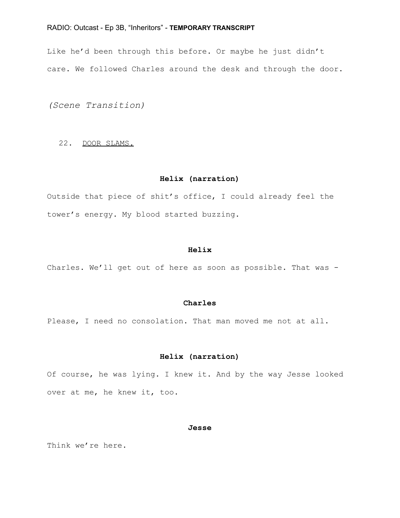Like he'd been through this before. Or maybe he just didn't care. We followed Charles around the desk and through the door.

*(Scene Transition)*

### 22. DOOR SLAMS.

### **Helix (narration)**

Outside that piece of shit's office, I could already feel the tower's energy. My blood started buzzing.

### **Helix**

Charles. We'll get out of here as soon as possible. That was -

# **Charles**

Please, I need no consolation. That man moved me not at all.

# **Helix (narration)**

Of course, he was lying. I knew it. And by the way Jesse looked over at me, he knew it, too.

### **Jesse**

Think we're here.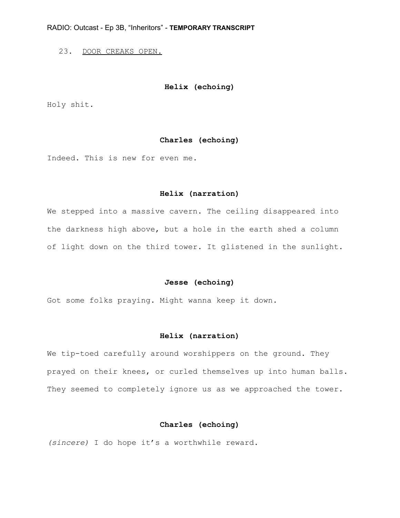23. DOOR CREAKS OPEN.

# **Helix (echoing)**

Holy shit.

# **Charles (echoing)**

Indeed. This is new for even me.

### **Helix (narration)**

We stepped into a massive cavern. The ceiling disappeared into the darkness high above, but a hole in the earth shed a column of light down on the third tower. It glistened in the sunlight.

### **Jesse (echoing)**

Got some folks praying. Might wanna keep it down.

## **Helix (narration)**

We tip-toed carefully around worshippers on the ground. They prayed on their knees, or curled themselves up into human balls. They seemed to completely ignore us as we approached the tower.

# **Charles (echoing)**

*(sincere)* I do hope it's a worthwhile reward.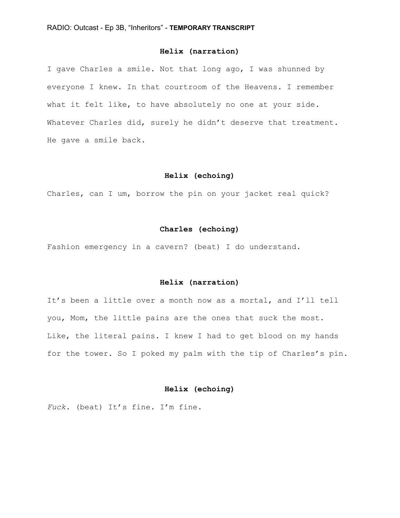# **Helix (narration)**

I gave Charles a smile. Not that long ago, I was shunned by everyone I knew. In that courtroom of the Heavens. I remember what it felt like, to have absolutely no one at your side. Whatever Charles did, surely he didn't deserve that treatment. He gave a smile back.

### **Helix (echoing)**

Charles, can I um, borrow the pin on your jacket real quick?

### **Charles (echoing)**

Fashion emergency in a cavern? (beat) I do understand.

### **Helix (narration)**

It's been a little over a month now as a mortal, and I'll tell you, Mom, the little pains are the ones that suck the most. Like, the literal pains. I knew I had to get blood on my hands for the tower. So I poked my palm with the tip of Charles's pin.

# **Helix (echoing)**

*Fuck*. (beat) It's fine. I'm fine.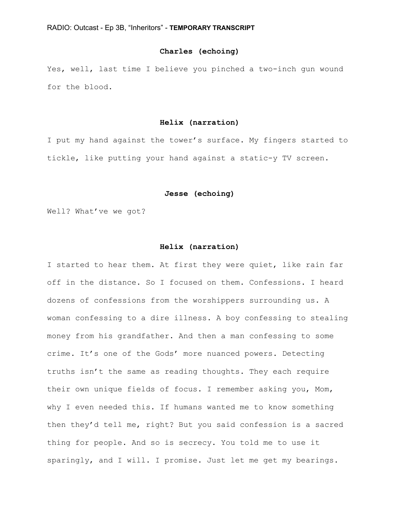# **Charles (echoing)**

Yes, well, last time I believe you pinched a two-inch gun wound for the blood.

# **Helix (narration)**

I put my hand against the tower's surface. My fingers started to tickle, like putting your hand against a static-y TV screen.

### **Jesse (echoing)**

Well? What've we got?

### **Helix (narration)**

I started to hear them. At first they were quiet, like rain far off in the distance. So I focused on them. Confessions. I heard dozens of confessions from the worshippers surrounding us. A woman confessing to a dire illness. A boy confessing to stealing money from his grandfather. And then a man confessing to some crime. It's one of the Gods' more nuanced powers. Detecting truths isn't the same as reading thoughts. They each require their own unique fields of focus. I remember asking you, Mom, why I even needed this. If humans wanted me to know something then they'd tell me, right? But you said confession is a sacred thing for people. And so is secrecy. You told me to use it sparingly, and I will. I promise. Just let me get my bearings.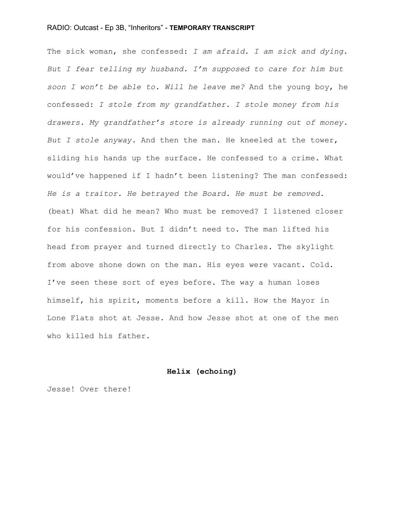The sick woman, she confessed: *I am afraid*. *I am sick and dying*. *But I fear telling my husband. I'm supposed to care for him but soon I won't be able to. Will he leave me?* And the young boy, he confessed: *I stole from my grandfather. I stole money from his drawers. My grandfather's store is already running out of money. But I stole anyway.* And then the man. He kneeled at the tower, sliding his hands up the surface. He confessed to a crime. What would've happened if I hadn't been listening? The man confessed: *He is a traitor. He betrayed the Board. He must be removed.* (beat) What did he mean? Who must be removed? I listened closer for his confession. But I didn't need to. The man lifted his head from prayer and turned directly to Charles. The skylight from above shone down on the man. His eyes were vacant. Cold. I've seen these sort of eyes before. The way a human loses himself, his spirit, moments before a kill. How the Mayor in Lone Flats shot at Jesse. And how Jesse shot at one of the men who killed his father.

#### **Helix (echoing)**

Jesse! Over there!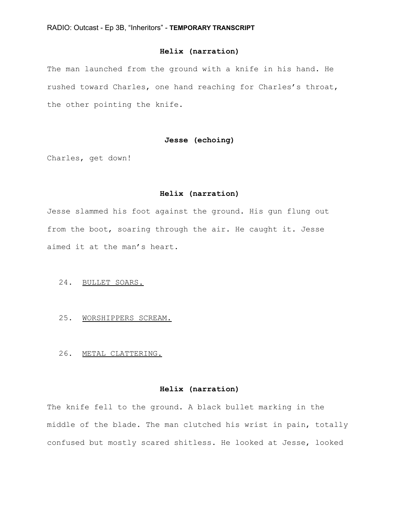# **Helix (narration)**

The man launched from the ground with a knife in his hand. He rushed toward Charles, one hand reaching for Charles's throat, the other pointing the knife.

# **Jesse (echoing)**

Charles, get down!

#### **Helix (narration)**

Jesse slammed his foot against the ground. His gun flung out from the boot, soaring through the air. He caught it. Jesse aimed it at the man's heart.

# 24. BULLET SOARS.

- 25. WORSHIPPERS SCREAM.
- 26. METAL CLATTERING.

# **Helix (narration)**

The knife fell to the ground. A black bullet marking in the middle of the blade. The man clutched his wrist in pain, totally confused but mostly scared shitless. He looked at Jesse, looked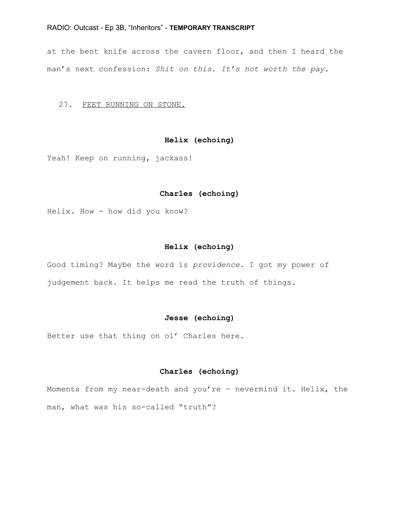at the bent knife across the cavern floor, and then I heard the man's next confession: *Shit on this. It's not worth the pay.*

### 27. FEET RUNNING ON STONE.

# **Helix (echoing)**

Yeah! Keep on running, jackass!

### **Charles (echoing)**

Helix. How - how did you know?

### **Helix (echoing)**

Good timing? Maybe the word is *providence*. I got my power of judgement back. It helps me read the truth of things.

### **Jesse (echoing)**

Better use that thing on ol' Charles here.

### **Charles (echoing)**

Moments from my near-death and you're  $-$  nevermind it. Helix, the man, what was his so-called "truth"?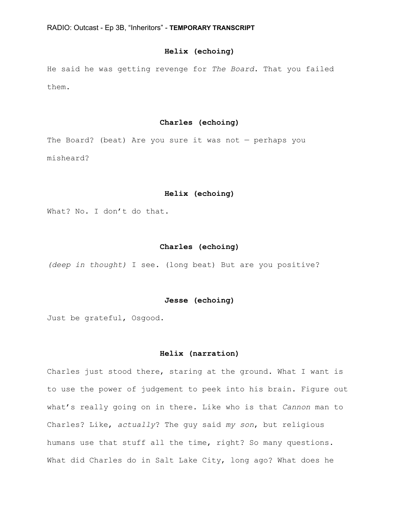# **Helix (echoing)**

He said he was getting revenge for *The Board*. That you failed them.

# **Charles (echoing)**

The Board? (beat) Are you sure it was not  $-$  perhaps you misheard?

### **Helix (echoing)**

What? No. I don't do that.

### **Charles (echoing)**

*(deep in thought)* I see. (long beat) But are you positive?

### **Jesse (echoing)**

Just be grateful, Osgood.

### **Helix (narration)**

Charles just stood there, staring at the ground. What I want is to use the power of judgement to peek into his brain. Figure out what's really going on in there. Like who is that *Cannon* man to Charles? Like, *actually*? The guy said *my son*, but religious humans use that stuff all the time, right? So many questions. What did Charles do in Salt Lake City, long ago? What does he